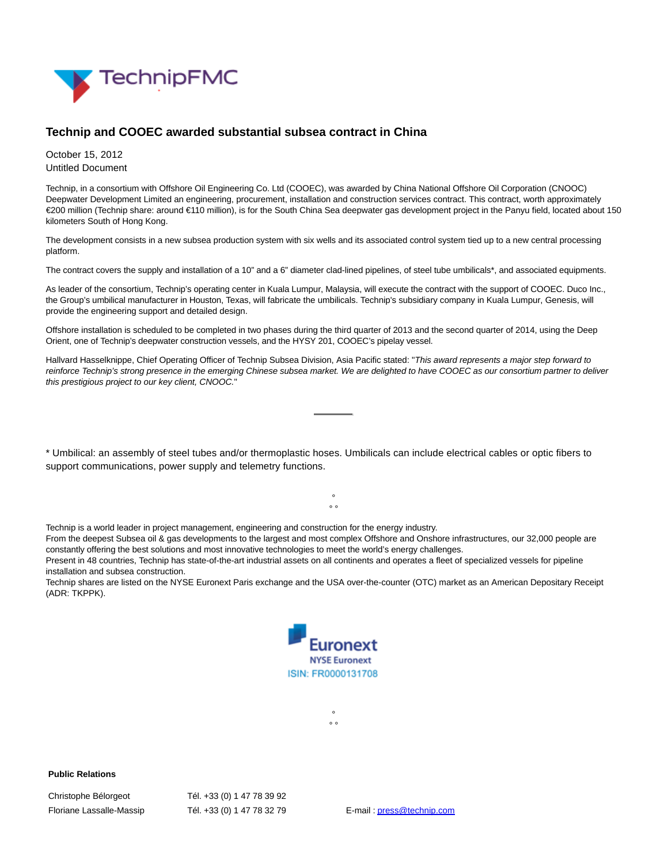

## **Technip and COOEC awarded substantial subsea contract in China**

October 15, 2012 Untitled Document

Technip, in a consortium with Offshore Oil Engineering Co. Ltd (COOEC), was awarded by China National Offshore Oil Corporation (CNOOC) Deepwater Development Limited an engineering, procurement, installation and construction services contract. This contract, worth approximately €200 million (Technip share: around €110 million), is for the South China Sea deepwater gas development project in the Panyu field, located about 150 kilometers South of Hong Kong.

The development consists in a new subsea production system with six wells and its associated control system tied up to a new central processing platform.

The contract covers the supply and installation of a 10" and a 6" diameter clad-lined pipelines, of steel tube umbilicals\*, and associated equipments.

As leader of the consortium, Technip's operating center in Kuala Lumpur, Malaysia, will execute the contract with the support of COOEC. Duco Inc., the Group's umbilical manufacturer in Houston, Texas, will fabricate the umbilicals. Technip's subsidiary company in Kuala Lumpur, Genesis, will provide the engineering support and detailed design.

Offshore installation is scheduled to be completed in two phases during the third quarter of 2013 and the second quarter of 2014, using the Deep Orient, one of Technip's deepwater construction vessels, and the HYSY 201, COOEC's pipelay vessel.

Hallvard Hasselknippe, Chief Operating Officer of Technip Subsea Division, Asia Pacific stated: "This award represents a major step forward to reinforce Technip's strong presence in the emerging Chinese subsea market. We are delighted to have COOEC as our consortium partner to deliver this prestigious project to our key client, CNOOC."

\* Umbilical: an assembly of steel tubes and/or thermoplastic hoses. Umbilicals can include electrical cables or optic fibers to support communications, power supply and telemetry functions.

> $\circ$  $\circ$   $\circ$

Technip is a world leader in project management, engineering and construction for the energy industry.

From the deepest Subsea oil & gas developments to the largest and most complex Offshore and Onshore infrastructures, our 32,000 people are constantly offering the best solutions and most innovative technologies to meet the world's energy challenges.

Present in 48 countries, Technip has state-of-the-art industrial assets on all continents and operates a fleet of specialized vessels for pipeline installation and subsea construction.

Technip shares are listed on the NYSE Euronext Paris exchange and the USA over-the-counter (OTC) market as an American Depositary Receipt (ADR: TKPPK).



°  $\circ$ 

Christophe Bélorgeot Tél. +33 (0) 1 47 78 39 92

**Public Relations**

Floriane Lassalle-Massip Tél. +33 (0) 1 47 78 32 79 E-mail [: press@technip.com](mailto:press@technip.com)